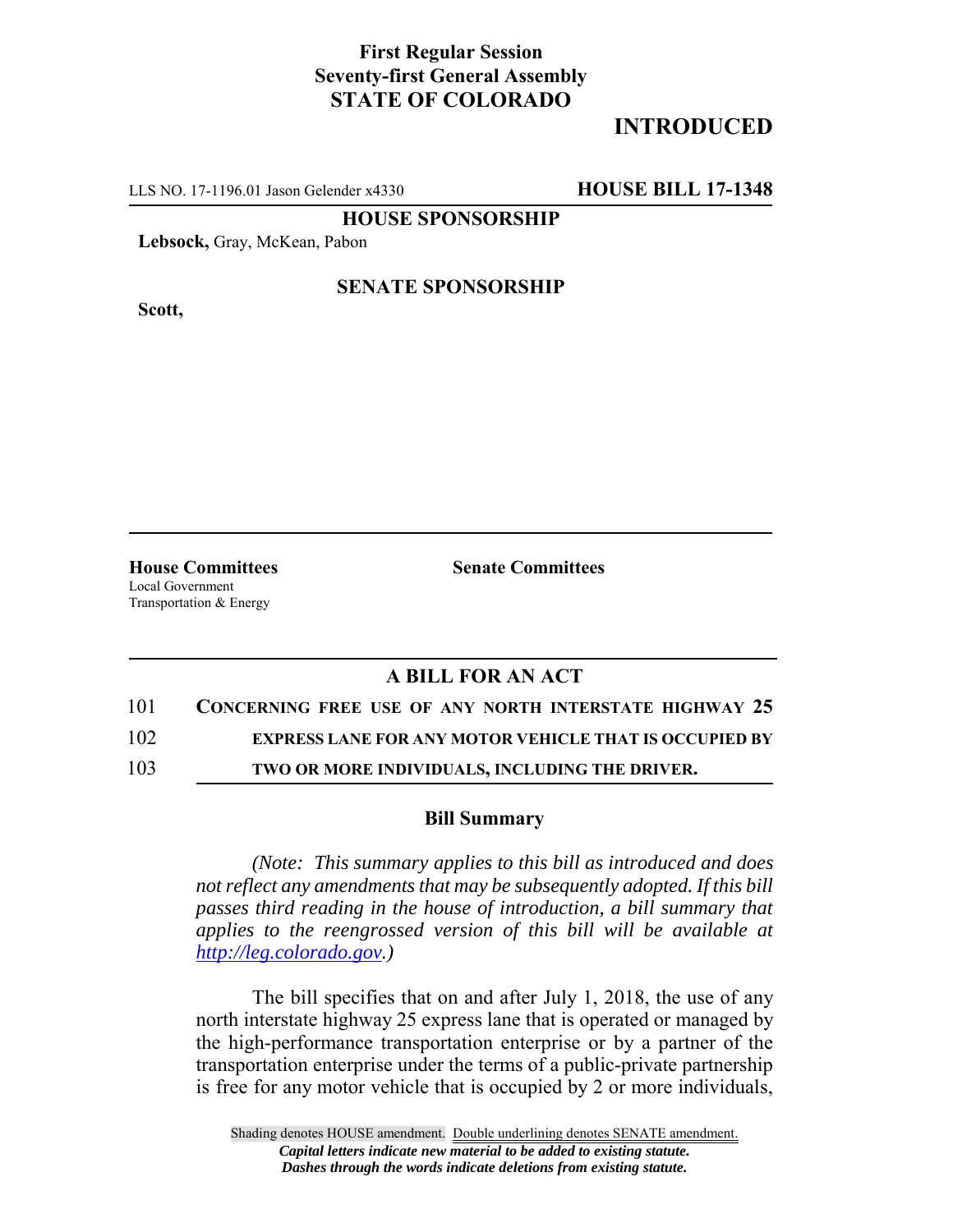## **First Regular Session Seventy-first General Assembly STATE OF COLORADO**

# **INTRODUCED**

LLS NO. 17-1196.01 Jason Gelender x4330 **HOUSE BILL 17-1348**

**HOUSE SPONSORSHIP**

**Lebsock,** Gray, McKean, Pabon

**Scott,**

### **SENATE SPONSORSHIP**

**House Committees Senate Committees** Local Government Transportation & Energy

## **A BILL FOR AN ACT**

### 101 **CONCERNING FREE USE OF ANY NORTH INTERSTATE HIGHWAY 25**

102 **EXPRESS LANE FOR ANY MOTOR VEHICLE THAT IS OCCUPIED BY**

103 **TWO OR MORE INDIVIDUALS, INCLUDING THE DRIVER.**

#### **Bill Summary**

*(Note: This summary applies to this bill as introduced and does not reflect any amendments that may be subsequently adopted. If this bill passes third reading in the house of introduction, a bill summary that applies to the reengrossed version of this bill will be available at http://leg.colorado.gov.)*

The bill specifies that on and after July 1, 2018, the use of any north interstate highway 25 express lane that is operated or managed by the high-performance transportation enterprise or by a partner of the transportation enterprise under the terms of a public-private partnership is free for any motor vehicle that is occupied by 2 or more individuals,